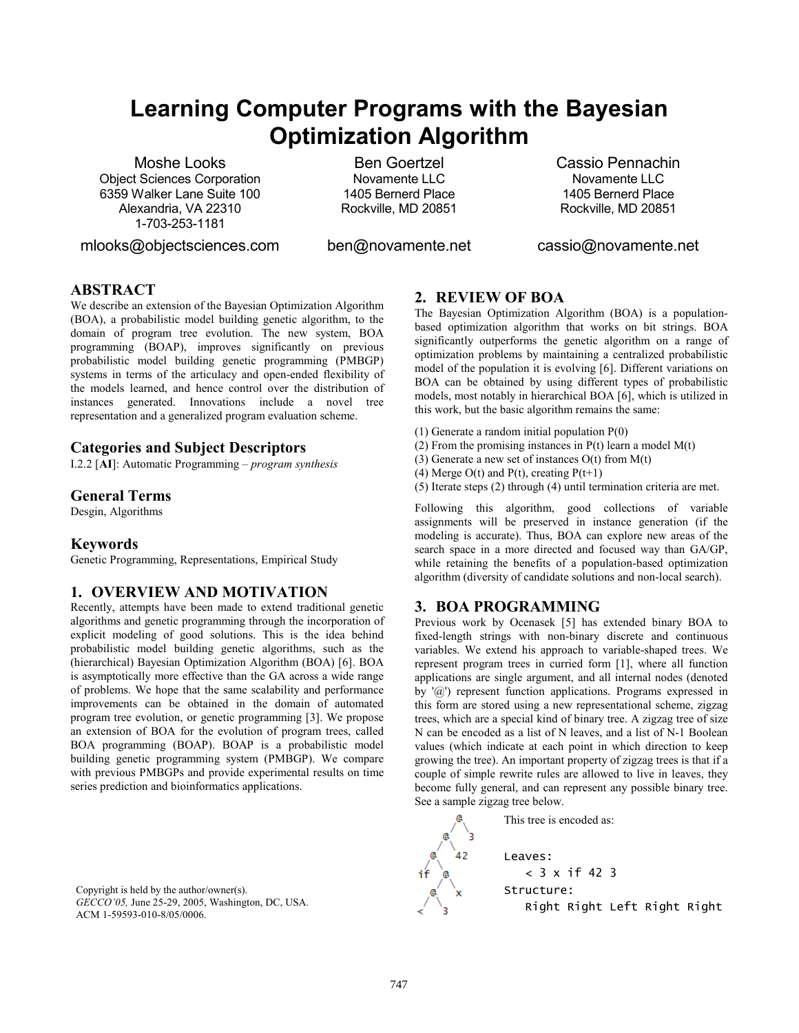# **Learning Computer Programs with the Bayesian Optimization Algorithm**

Moshe Looks Object Sciences Corporation 6359 Walker Lane Suite 100 Alexandria, VA 22310 1-703-253-1181

mlooks@objectsciences.com

Ben Goertzel Novamente LLC 1405 Bernerd Place Rockville, MD 20851

Cassio Pennachin Novamente LLC 1405 Bernerd Place Rockville, MD 20851

ben@novamente.net

cassio@novamente.net

# **ABSTRACT**

We describe an extension of the Bayesian Optimization Algorithm (BOA), a probabilistic model building genetic algorithm, to the domain of program tree evolution. The new system, BOA programming (BOAP), improves significantly on previous probabilistic model building genetic programming (PMBGP) systems in terms of the articulacy and open-ended flexibility of the models learned, and hence control over the distribution of instances generated. Innovations include a novel tree representation and a generalized program evaluation scheme.

# **Categories and Subject Descriptors**

I.2.2 [**AI**]: Automatic Programming – *program synthesis* 

## **General Terms**

Desgin, Algorithms

## **Keywords**

Genetic Programming, Representations, Empirical Study

# **1. OVERVIEW AND MOTIVATION**

Recently, attempts have been made to extend traditional genetic algorithms and genetic programming through the incorporation of explicit modeling of good solutions. This is the idea behind probabilistic model building genetic algorithms, such as the (hierarchical) Bayesian Optimization Algorithm (BOA) [6]. BOA is asymptotically more effective than the GA across a wide range of problems. We hope that the same scalability and performance improvements can be obtained in the domain of automated program tree evolution, or genetic programming [3]. We propose an extension of BOA for the evolution of program trees, called BOA programming (BOAP). BOAP is a probabilistic model building genetic programming system (PMBGP). We compare with previous PMBGPs and provide experimental results on time series prediction and bioinformatics applications.

Copyright is held by the author/owner(s). *GECCO'05,* June 25-29, 2005, Washington, DC, USA. ACM 1-59593-010-8/05/0006.

## **2. REVIEW OF BOA**

The Bayesian Optimization Algorithm (BOA) is a populationbased optimization algorithm that works on bit strings. BOA significantly outperforms the genetic algorithm on a range of optimization problems by maintaining a centralized probabilistic model of the population it is evolving [6]. Different variations on BOA can be obtained by using different types of probabilistic models, most notably in hierarchical BOA [6], which is utilized in this work, but the basic algorithm remains the same:

- (1) Generate a random initial population P(0)
- (2) From the promising instances in  $P(t)$  learn a model  $M(t)$
- (3) Generate a new set of instances  $O(t)$  from  $M(t)$
- (4) Merge  $O(t)$  and  $P(t)$ , creating  $P(t+1)$
- (5) Iterate steps (2) through (4) until termination criteria are met.

Following this algorithm, good collections of variable assignments will be preserved in instance generation (if the modeling is accurate). Thus, BOA can explore new areas of the search space in a more directed and focused way than GA/GP, while retaining the benefits of a population-based optimization algorithm (diversity of candidate solutions and non-local search).

## **3. BOA PROGRAMMING**

Previous work by Ocenasek [5] has extended binary BOA to fixed-length strings with non-binary discrete and continuous variables. We extend his approach to variable-shaped trees. We represent program trees in curried form [1], where all function applications are single argument, and all internal nodes (denoted by '@') represent function applications. Programs expressed in this form are stored using a new representational scheme, zigzag trees, which are a special kind of binary tree. A zigzag tree of size N can be encoded as a list of N leaves, and a list of N-1 Boolean values (which indicate at each point in which direction to keep growing the tree). An important property of zigzag trees is that if a couple of simple rewrite rules are allowed to live in leaves, they become fully general, and can represent any possible binary tree. See a sample zigzag tree below.

This tree is encoded as: Leaves: < 3 x if 42 3 Structure: Right Right Left Right Right